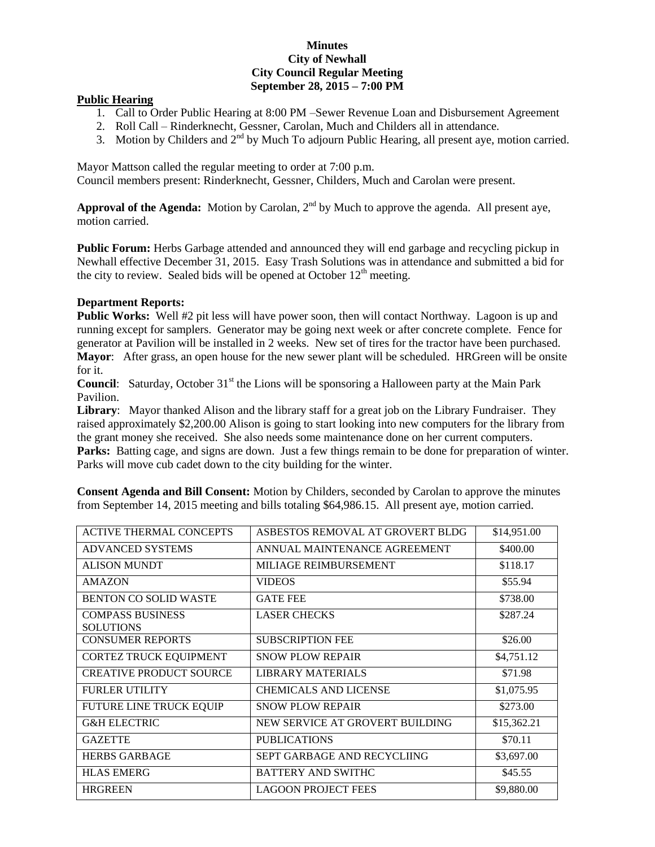## **Minutes City of Newhall City Council Regular Meeting September 28, 2015 – 7:00 PM**

## **Public Hearing**

- 1. Call to Order Public Hearing at 8:00 PM –Sewer Revenue Loan and Disbursement Agreement
- 2. Roll Call Rinderknecht, Gessner, Carolan, Much and Childers all in attendance.
- 3. Motion by Childers and  $2<sup>nd</sup>$  by Much To adjourn Public Hearing, all present aye, motion carried.

Mayor Mattson called the regular meeting to order at 7:00 p.m.

Council members present: Rinderknecht, Gessner, Childers, Much and Carolan were present.

Approval of the Agenda: Motion by Carolan, 2<sup>nd</sup> by Much to approve the agenda. All present aye, motion carried.

**Public Forum:** Herbs Garbage attended and announced they will end garbage and recycling pickup in Newhall effective December 31, 2015. Easy Trash Solutions was in attendance and submitted a bid for the city to review. Sealed bids will be opened at October  $12<sup>th</sup>$  meeting.

## **Department Reports:**

**Public Works:** Well #2 pit less will have power soon, then will contact Northway. Lagoon is up and running except for samplers. Generator may be going next week or after concrete complete. Fence for generator at Pavilion will be installed in 2 weeks. New set of tires for the tractor have been purchased. **Mayor**: After grass, an open house for the new sewer plant will be scheduled. HRGreen will be onsite for it.

**Council:** Saturday, October 31<sup>st</sup> the Lions will be sponsoring a Halloween party at the Main Park Pavilion.

**Library**: Mayor thanked Alison and the library staff for a great job on the Library Fundraiser. They raised approximately \$2,200.00 Alison is going to start looking into new computers for the library from the grant money she received. She also needs some maintenance done on her current computers. **Parks:** Batting cage, and signs are down. Just a few things remain to be done for preparation of winter. Parks will move cub cadet down to the city building for the winter.

**Consent Agenda and Bill Consent:** Motion by Childers, seconded by Carolan to approve the minutes from September 14, 2015 meeting and bills totaling \$64,986.15. All present aye, motion carried.

| <b>ACTIVE THERMAL CONCEPTS</b>              | ASBESTOS REMOVAL AT GROVERT BLDG | \$14,951.00 |
|---------------------------------------------|----------------------------------|-------------|
| <b>ADVANCED SYSTEMS</b>                     | ANNUAL MAINTENANCE AGREEMENT     | \$400.00    |
| <b>ALISON MUNDT</b>                         | MILIAGE REIMBURSEMENT            | \$118.17    |
| <b>AMAZON</b>                               | <b>VIDEOS</b>                    | \$55.94     |
| <b>BENTON CO SOLID WASTE</b>                | <b>GATE FEE</b>                  | \$738.00    |
| <b>COMPASS BUSINESS</b><br><b>SOLUTIONS</b> | <b>LASER CHECKS</b>              | \$287.24    |
| <b>CONSUMER REPORTS</b>                     | <b>SUBSCRIPTION FEE</b>          | \$26.00     |
| <b>CORTEZ TRUCK EQUIPMENT</b>               | <b>SNOW PLOW REPAIR</b>          | \$4,751.12  |
| <b>CREATIVE PRODUCT SOURCE</b>              | <b>LIBRARY MATERIALS</b>         | \$71.98     |
| <b>FURLER UTILITY</b>                       | <b>CHEMICALS AND LICENSE</b>     | \$1,075.95  |
| FUTURE LINE TRUCK EQUIP                     | <b>SNOW PLOW REPAIR</b>          | \$273.00    |
| <b>G&amp;H ELECTRIC</b>                     | NEW SERVICE AT GROVERT BUILDING  | \$15,362.21 |
| <b>GAZETTE</b>                              | <b>PUBLICATIONS</b>              | \$70.11     |
| <b>HERBS GARBAGE</b>                        | SEPT GARBAGE AND RECYCLIING      | \$3,697.00  |
| <b>HLAS EMERG</b>                           | <b>BATTERY AND SWITHC</b>        | \$45.55     |
| <b>HRGREEN</b>                              | <b>LAGOON PROJECT FEES</b>       | \$9,880.00  |